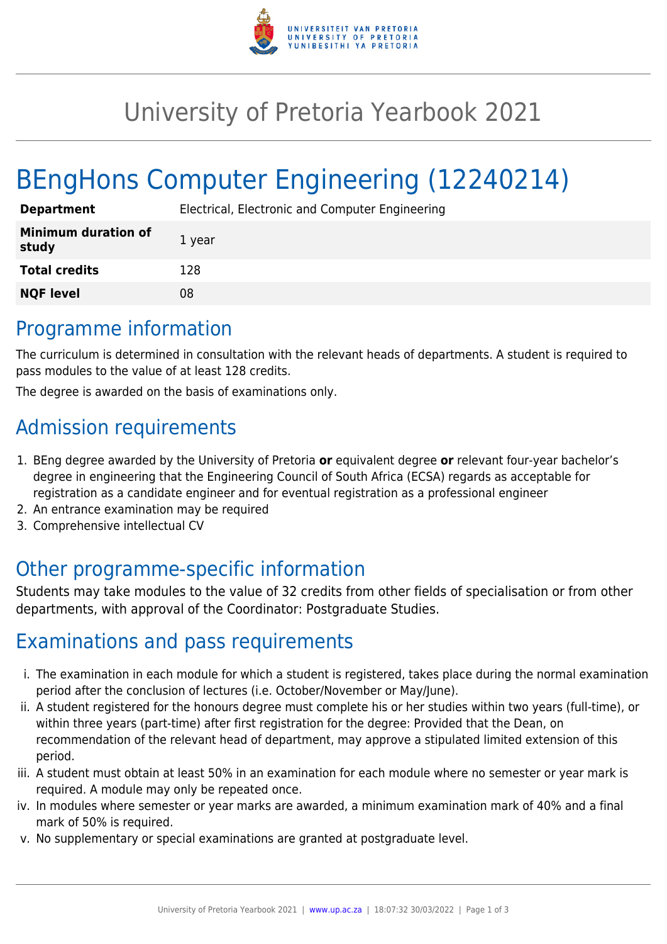

## University of Pretoria Yearbook 2021

# BEngHons Computer Engineering (12240214)

| <b>Department</b>                   | Electrical, Electronic and Computer Engineering |
|-------------------------------------|-------------------------------------------------|
| <b>Minimum duration of</b><br>study | 1 year                                          |
| <b>Total credits</b>                | 128                                             |
| <b>NQF level</b>                    | 08                                              |

#### Programme information

The curriculum is determined in consultation with the relevant heads of departments. A student is required to pass modules to the value of at least 128 credits.

The degree is awarded on the basis of examinations only.

## Admission requirements

- 1. BEng degree awarded by the University of Pretoria **or** equivalent degree **or** relevant four-year bachelor's degree in engineering that the Engineering Council of South Africa (ECSA) regards as acceptable for registration as a candidate engineer and for eventual registration as a professional engineer
- 2. An entrance examination may be required
- 3. Comprehensive intellectual CV

#### Other programme-specific information

Students may take modules to the value of 32 credits from other fields of specialisation or from other departments, with approval of the Coordinator: Postgraduate Studies.

#### Examinations and pass requirements

- i. The examination in each module for which a student is registered, takes place during the normal examination period after the conclusion of lectures (i.e. October/November or May/June).
- ii. A student registered for the honours degree must complete his or her studies within two years (full-time), or within three years (part-time) after first registration for the degree: Provided that the Dean, on recommendation of the relevant head of department, may approve a stipulated limited extension of this period.
- iii. A student must obtain at least 50% in an examination for each module where no semester or year mark is required. A module may only be repeated once.
- iv. In modules where semester or year marks are awarded, a minimum examination mark of 40% and a final mark of 50% is required.
- v. No supplementary or special examinations are granted at postgraduate level.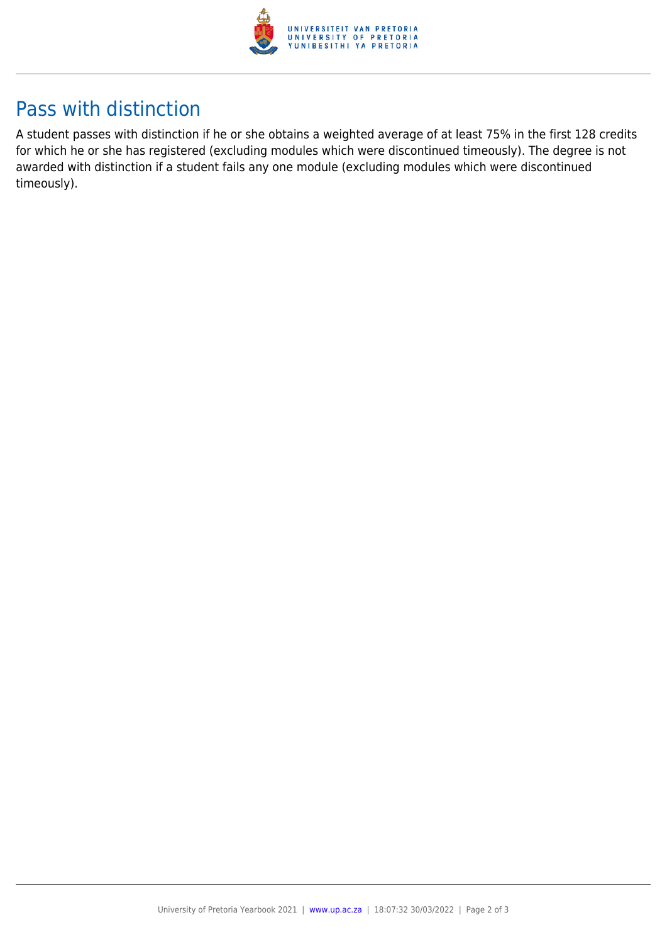

### Pass with distinction

A student passes with distinction if he or she obtains a weighted average of at least 75% in the first 128 credits for which he or she has registered (excluding modules which were discontinued timeously). The degree is not awarded with distinction if a student fails any one module (excluding modules which were discontinued timeously).